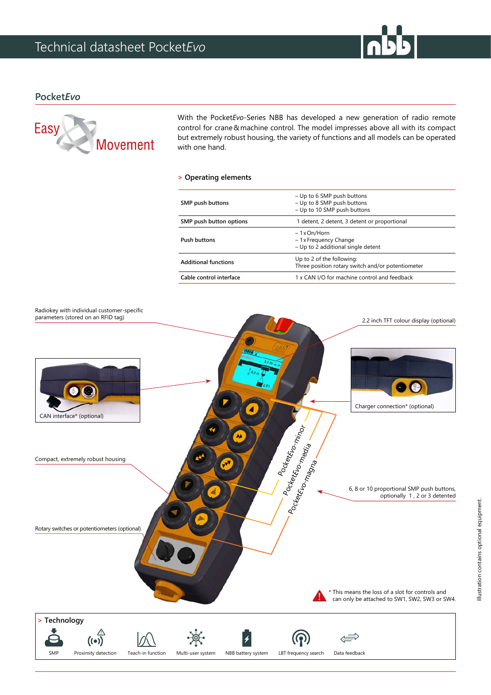

## **Pocket***Evo*



With the Pocket*Evo*-Series NBB has developed a new generation of radio remote control for crane & machine control. The model impresses above all with its compact but extremely robust housing, the variety of functions and all models can be operated with one hand.

## **> Operating elements**

| SMP push buttons            | - Up to 6 SMP push buttons<br>- Up to 8 SMP push buttons<br>- Up to 10 SMP push buttons |
|-----------------------------|-----------------------------------------------------------------------------------------|
| SMP push button options     | 1 detent, 2 detent, 3 detent or proportional                                            |
| Push buttons                | - 1 x On/Horn<br>- 1 x Frequency Change<br>- Up to 2 additional single detent           |
| <b>Additional functions</b> | Up to 2 of the following:<br>Three position rotary switch and/or potentiometer          |
| Cable control interface     | 1 x CAN I/O for machine control and feedback                                            |
|                             |                                                                                         |